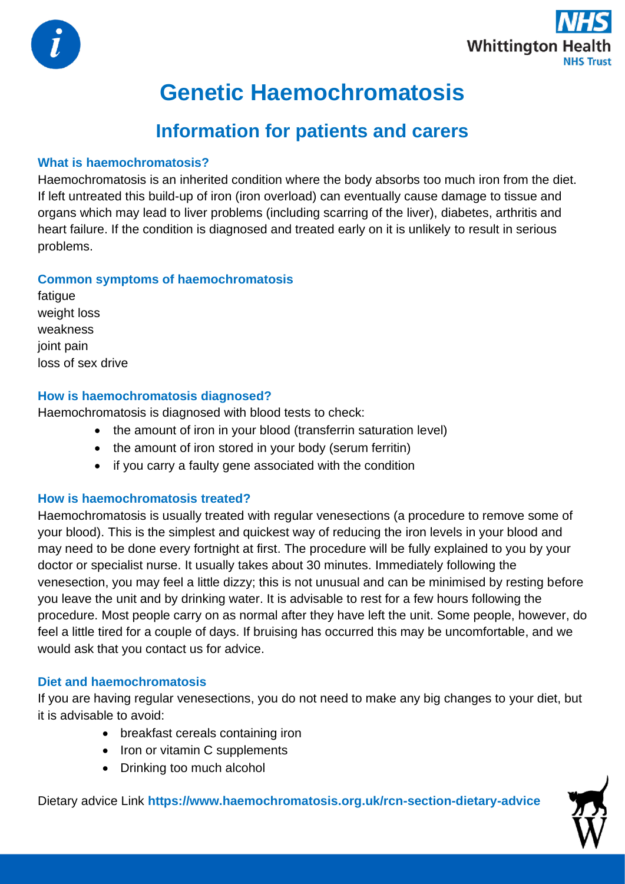



# **Genetic Haemochromatosis**

## **Information for patients and carers**

## **What is haemochromatosis?**

Haemochromatosis is an inherited condition where the body absorbs too much iron from the diet. If left untreated this build-up of iron (iron overload) can eventually cause damage to tissue and organs which may lead to liver problems (including scarring of the liver), diabetes, arthritis and heart failure. If the condition is diagnosed and treated early on it is unlikely to result in serious problems.

## **Common symptoms of haemochromatosis**

fatigue weight loss weakness joint pain loss of sex drive

## **How is haemochromatosis diagnosed?**

Haemochromatosis is diagnosed with blood tests to check:

- the amount of iron in your blood (transferrin saturation level)
- the amount of iron stored in your body (serum ferritin)
- if you carry a faulty gene associated with the condition

## **How is haemochromatosis treated?**

Haemochromatosis is usually treated with regular venesections (a procedure to remove some of your blood). This is the simplest and quickest way of reducing the iron levels in your blood and may need to be done every fortnight at first. The procedure will be fully explained to you by your doctor or specialist nurse. It usually takes about 30 minutes. Immediately following the venesection, you may feel a little dizzy; this is not unusual and can be minimised by resting before you leave the unit and by drinking water. It is advisable to rest for a few hours following the procedure. Most people carry on as normal after they have left the unit. Some people, however, do feel a little tired for a couple of days. If bruising has occurred this may be uncomfortable, and we would ask that you contact us for advice.

## **Diet and haemochromatosis**

If you are having regular venesections, you do not need to make any big changes to your diet, but it is advisable to avoid:

- breakfast cereals containing iron
- Iron or vitamin C supplements
- Drinking too much alcohol

Dietary advice Link **https://www.haemochromatosis.org.uk/rcn-section-dietary-advice**